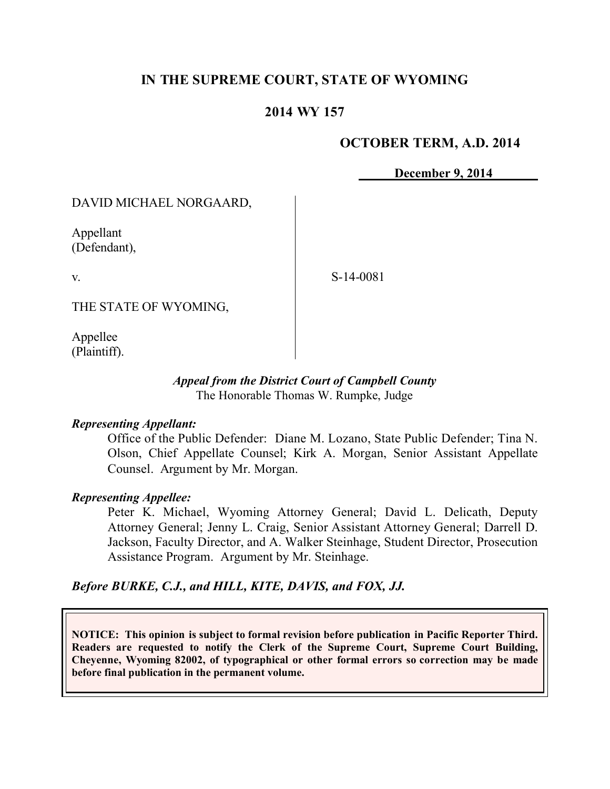# **IN THE SUPREME COURT, STATE OF WYOMING**

# **2014 WY 157**

## **OCTOBER TERM, A.D. 2014**

**December 9, 2014**

DAVID MICHAEL NORGAARD,

Appellant (Defendant),

v.

S-14-0081

THE STATE OF WYOMING,

Appellee (Plaintiff).

#### *Appeal from the District Court of Campbell County* The Honorable Thomas W. Rumpke, Judge

#### *Representing Appellant:*

Office of the Public Defender: Diane M. Lozano, State Public Defender; Tina N. Olson, Chief Appellate Counsel; Kirk A. Morgan, Senior Assistant Appellate Counsel. Argument by Mr. Morgan.

#### *Representing Appellee:*

Peter K. Michael, Wyoming Attorney General; David L. Delicath, Deputy Attorney General; Jenny L. Craig, Senior Assistant Attorney General; Darrell D. Jackson, Faculty Director, and A. Walker Steinhage, Student Director, Prosecution Assistance Program. Argument by Mr. Steinhage.

## *Before BURKE, C.J., and HILL, KITE, DAVIS, and FOX, JJ.*

**NOTICE: This opinion is subject to formal revision before publication in Pacific Reporter Third. Readers are requested to notify the Clerk of the Supreme Court, Supreme Court Building, Cheyenne, Wyoming 82002, of typographical or other formal errors so correction may be made before final publication in the permanent volume.**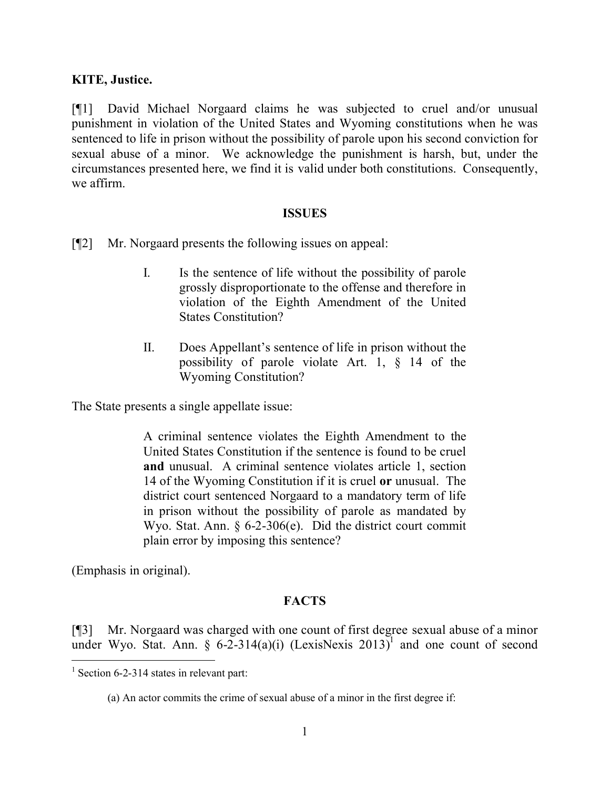#### **KITE, Justice.**

[¶1] David Michael Norgaard claims he was subjected to cruel and/or unusual punishment in violation of the United States and Wyoming constitutions when he was sentenced to life in prison without the possibility of parole upon his second conviction for sexual abuse of a minor. We acknowledge the punishment is harsh, but, under the circumstances presented here, we find it is valid under both constitutions. Consequently, we affirm.

#### **ISSUES**

- [¶2] Mr. Norgaard presents the following issues on appeal:
	- I. Is the sentence of life without the possibility of parole grossly disproportionate to the offense and therefore in violation of the Eighth Amendment of the United States Constitution?
	- II. Does Appellant's sentence of life in prison without the possibility of parole violate Art. 1, § 14 of the Wyoming Constitution?

The State presents a single appellate issue:

A criminal sentence violates the Eighth Amendment to the United States Constitution if the sentence is found to be cruel **and** unusual. A criminal sentence violates article 1, section 14 of the Wyoming Constitution if it is cruel **or** unusual. The district court sentenced Norgaard to a mandatory term of life in prison without the possibility of parole as mandated by Wyo. Stat. Ann. § 6-2-306(e). Did the district court commit plain error by imposing this sentence?

(Emphasis in original).

 $\overline{a}$ 

# **FACTS**

[¶3] Mr. Norgaard was charged with one count of first degree sexual abuse of a minor under Wyo. Stat. Ann. § 6-2-314(a)(i) (LexisNexis 2013)<sup>1</sup> and one count of second

<sup>&</sup>lt;sup>1</sup> Section 6-2-314 states in relevant part:

<sup>(</sup>a) An actor commits the crime of sexual abuse of a minor in the first degree if: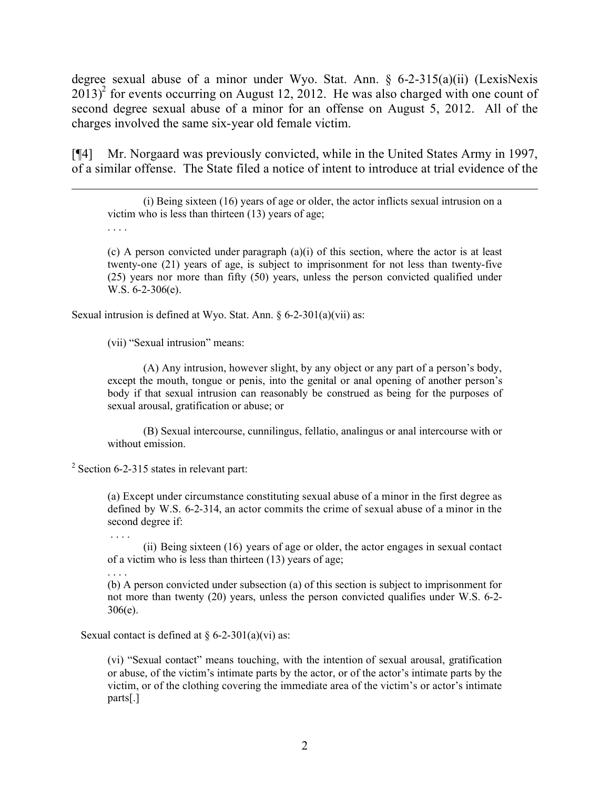degree sexual abuse of a minor under Wyo. Stat. Ann.  $\S$  6-2-315(a)(ii) (LexisNexis  $2013$ <sup>2</sup> for events occurring on August 12, 2012. He was also charged with one count of second degree sexual abuse of a minor for an offense on August 5, 2012. All of the charges involved the same six-year old female victim.

[¶4] Mr. Norgaard was previously convicted, while in the United States Army in 1997, of a similar offense. The State filed a notice of intent to introduce at trial evidence of the

(i) Being sixteen (16) years of age or older, the actor inflicts sexual intrusion on a victim who is less than thirteen (13) years of age;

. . . .

 $\overline{a}$ 

(c) A person convicted under paragraph  $(a)(i)$  of this section, where the actor is at least twenty-one (21) years of age, is subject to imprisonment for not less than twenty-five (25) years nor more than fifty (50) years, unless the person convicted qualified under W.S. 6-2-306(e).

Sexual intrusion is defined at Wyo. Stat. Ann.  $\S 6-2-301(a)(vii)$  as:

(vii) "Sexual intrusion" means:

(A) Any intrusion, however slight, by any object or any part of a person's body, except the mouth, tongue or penis, into the genital or anal opening of another person's body if that sexual intrusion can reasonably be construed as being for the purposes of sexual arousal, gratification or abuse; or

(B) Sexual intercourse, cunnilingus, fellatio, analingus or anal intercourse with or without emission.

 $2$  Section 6-2-315 states in relevant part:

(a) Except under circumstance constituting sexual abuse of a minor in the first degree as defined by W.S. 6-2-314, an actor commits the crime of sexual abuse of a minor in the second degree if:

. . . .

. . . .

(ii) Being sixteen (16) years of age or older, the actor engages in sexual contact of a victim who is less than thirteen (13) years of age;

(b) A person convicted under subsection (a) of this section is subject to imprisonment for not more than twenty (20) years, unless the person convicted qualifies under W.S. 6-2-  $306(e)$ .

Sexual contact is defined at  $\S$  6-2-301(a)(vi) as:

(vi) "Sexual contact" means touching, with the intention of sexual arousal, gratification or abuse, of the victim's intimate parts by the actor, or of the actor's intimate parts by the victim, or of the clothing covering the immediate area of the victim's or actor's intimate parts[.]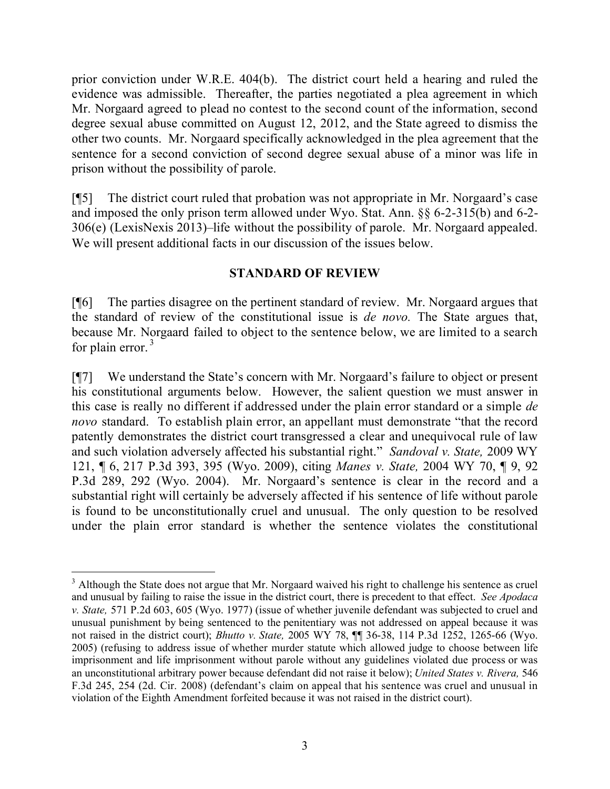prior conviction under W.R.E. 404(b). The district court held a hearing and ruled the evidence was admissible. Thereafter, the parties negotiated a plea agreement in which Mr. Norgaard agreed to plead no contest to the second count of the information, second degree sexual abuse committed on August 12, 2012, and the State agreed to dismiss the other two counts. Mr. Norgaard specifically acknowledged in the plea agreement that the sentence for a second conviction of second degree sexual abuse of a minor was life in prison without the possibility of parole.

[¶5] The district court ruled that probation was not appropriate in Mr. Norgaard's case and imposed the only prison term allowed under Wyo. Stat. Ann. §§ 6-2-315(b) and 6-2- 306(e) (LexisNexis 2013)–life without the possibility of parole. Mr. Norgaard appealed. We will present additional facts in our discussion of the issues below.

# **STANDARD OF REVIEW**

[¶6] The parties disagree on the pertinent standard of review. Mr. Norgaard argues that the standard of review of the constitutional issue is *de novo.* The State argues that, because Mr. Norgaard failed to object to the sentence below, we are limited to a search for plain error.<sup>3</sup>

[¶7] We understand the State's concern with Mr. Norgaard's failure to object or present his constitutional arguments below. However, the salient question we must answer in this case is really no different if addressed under the plain error standard or a simple *de novo* standard. To establish plain error, an appellant must demonstrate "that the record patently demonstrates the district court transgressed a clear and unequivocal rule of law and such violation adversely affected his substantial right." *Sandoval v. State,* 2009 WY 121, ¶ 6, 217 P.3d 393, 395 (Wyo. 2009), citing *Manes v. State,* 2004 WY 70, ¶ 9, 92 P.3d 289, 292 (Wyo. 2004). Mr. Norgaard's sentence is clear in the record and a substantial right will certainly be adversely affected if his sentence of life without parole is found to be unconstitutionally cruel and unusual. The only question to be resolved under the plain error standard is whether the sentence violates the constitutional

<sup>&</sup>lt;sup>3</sup> Although the State does not argue that Mr. Norgaard waived his right to challenge his sentence as cruel and unusual by failing to raise the issue in the district court, there is precedent to that effect. *See Apodaca v. State,* 571 P.2d 603, 605 (Wyo. 1977) (issue of whether juvenile defendant was subjected to cruel and unusual punishment by being sentenced to the penitentiary was not addressed on appeal because it was not raised in the district court); *Bhutto v. State,* 2005 WY 78, ¶¶ 36-38, 114 P.3d 1252, 1265-66 (Wyo. 2005) (refusing to address issue of whether murder statute which allowed judge to choose between life imprisonment and life imprisonment without parole without any guidelines violated due process or was an unconstitutional arbitrary power because defendant did not raise it below); *United States v. Rivera,* 546 F.3d 245, 254 (2d. Cir. 2008) (defendant's claim on appeal that his sentence was cruel and unusual in violation of the Eighth Amendment forfeited because it was not raised in the district court).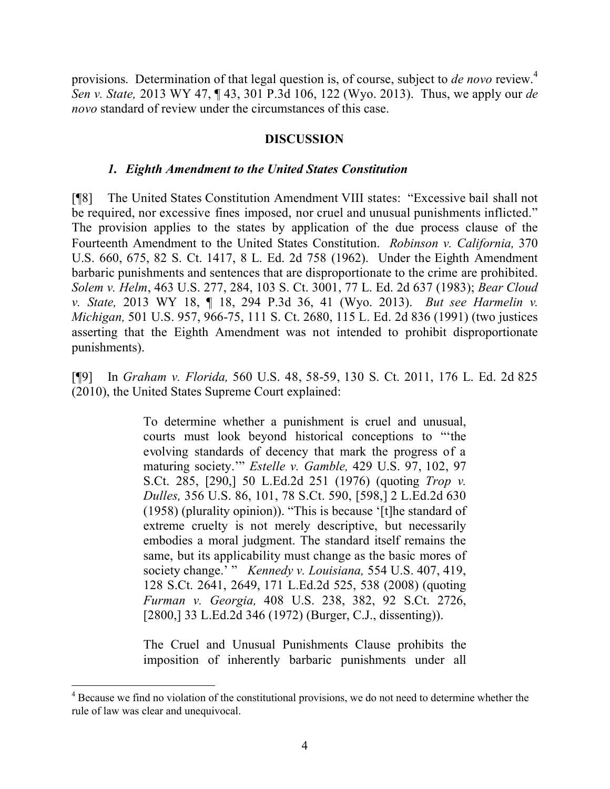provisions. Determination of that legal question is, of course, subject to *de novo* review.<sup>4</sup> *Sen v. State,* 2013 WY 47, ¶ 43, 301 P.3d 106, 122 (Wyo. 2013). Thus, we apply our *de novo* standard of review under the circumstances of this case.

## **DISCUSSION**

### *1. Eighth Amendment to the United States Constitution*

[¶8] The United States Constitution Amendment VIII states: "Excessive bail shall not be required, nor excessive fines imposed, nor cruel and unusual punishments inflicted." The provision applies to the states by application of the due process clause of the Fourteenth Amendment to the United States Constitution. *Robinson v. California,* 370 U.S. 660, 675, 82 S. Ct. 1417, 8 L. Ed. 2d 758 (1962). Under the Eighth Amendment barbaric punishments and sentences that are disproportionate to the crime are prohibited. *Solem v. Helm*, 463 U.S. 277, 284, 103 S. Ct. 3001, 77 L. Ed. 2d 637 (1983); *Bear Cloud v. State,* 2013 WY 18, ¶ 18, 294 P.3d 36, 41 (Wyo. 2013). *But see Harmelin v. Michigan,* 501 U.S. 957, 966-75, 111 S. Ct. 2680, 115 L. Ed. 2d 836 (1991) (two justices asserting that the Eighth Amendment was not intended to prohibit disproportionate punishments).

[¶9] In *Graham v. Florida,* 560 U.S. 48, 58-59, 130 S. Ct. 2011, 176 L. Ed. 2d 825 (2010), the United States Supreme Court explained:

> To determine whether a punishment is cruel and unusual, courts must look beyond historical conceptions to "'the evolving standards of decency that mark the progress of a maturing society.'" *Estelle v. Gamble,* 429 U.S. 97, 102, 97 S.Ct. 285, [290,] 50 L.Ed.2d 251 (1976) (quoting *Trop v. Dulles,* 356 U.S. 86, 101, 78 S.Ct. 590, [598,] 2 L.Ed.2d 630 (1958) (plurality opinion)). "This is because '[t]he standard of extreme cruelty is not merely descriptive, but necessarily embodies a moral judgment. The standard itself remains the same, but its applicability must change as the basic mores of society change.<sup>'</sup>" *Kennedy v. Louisiana*, 554 U.S. 407, 419, 128 S.Ct. 2641, 2649, 171 L.Ed.2d 525, 538 (2008) (quoting *Furman v. Georgia,* 408 U.S. 238, 382, 92 S.Ct. 2726, [2800,] 33 L.Ed.2d 346 (1972) (Burger, C.J., dissenting)).

> The Cruel and Unusual Punishments Clause prohibits the imposition of inherently barbaric punishments under all

<sup>&</sup>lt;sup>4</sup> Because we find no violation of the constitutional provisions, we do not need to determine whether the rule of law was clear and unequivocal.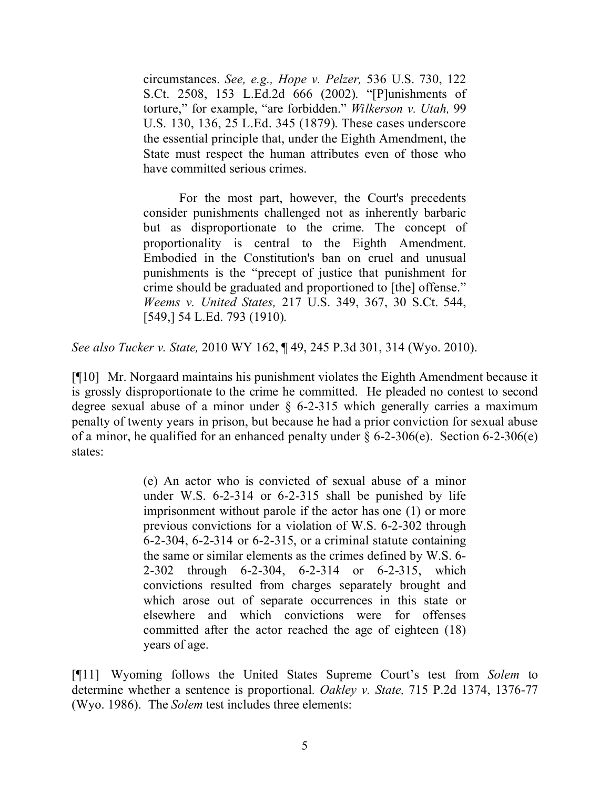circumstances. *See, e.g., Hope v. Pelzer,* 536 U.S. 730, 122 S.Ct. 2508, 153 L.Ed.2d 666 (2002). "[P]unishments of torture," for example, "are forbidden." *Wilkerson v. Utah,* 99 U.S. 130, 136, 25 L.Ed. 345 (1879). These cases underscore the essential principle that, under the Eighth Amendment, the State must respect the human attributes even of those who have committed serious crimes.

For the most part, however, the Court's precedents consider punishments challenged not as inherently barbaric but as disproportionate to the crime. The concept of proportionality is central to the Eighth Amendment. Embodied in the Constitution's ban on cruel and unusual punishments is the "precept of justice that punishment for crime should be graduated and proportioned to [the] offense." *Weems v. United States,* 217 U.S. 349, 367, 30 S.Ct. 544, [549,] 54 L.Ed. 793 (1910).

*See also Tucker v. State,* 2010 WY 162, ¶ 49, 245 P.3d 301, 314 (Wyo. 2010).

[¶10] Mr. Norgaard maintains his punishment violates the Eighth Amendment because it is grossly disproportionate to the crime he committed. He pleaded no contest to second degree sexual abuse of a minor under  $\S$  6-2-315 which generally carries a maximum penalty of twenty years in prison, but because he had a prior conviction for sexual abuse of a minor, he qualified for an enhanced penalty under  $\S$  6-2-306(e). Section 6-2-306(e) states:

> (e) An actor who is convicted of sexual abuse of a minor under W.S. 6-2-314 or 6-2-315 shall be punished by life imprisonment without parole if the actor has one (1) or more previous convictions for a violation of W.S. 6-2-302 through 6-2-304, 6-2-314 or 6-2-315, or a criminal statute containing the same or similar elements as the crimes defined by W.S. 6- 2-302 through 6-2-304, 6-2-314 or 6-2-315, which convictions resulted from charges separately brought and which arose out of separate occurrences in this state or elsewhere and which convictions were for offenses committed after the actor reached the age of eighteen (18) years of age.

[¶11] Wyoming follows the United States Supreme Court's test from *Solem* to determine whether a sentence is proportional*. Oakley v. State,* 715 P.2d 1374, 1376-77 (Wyo. 1986). The *Solem* test includes three elements: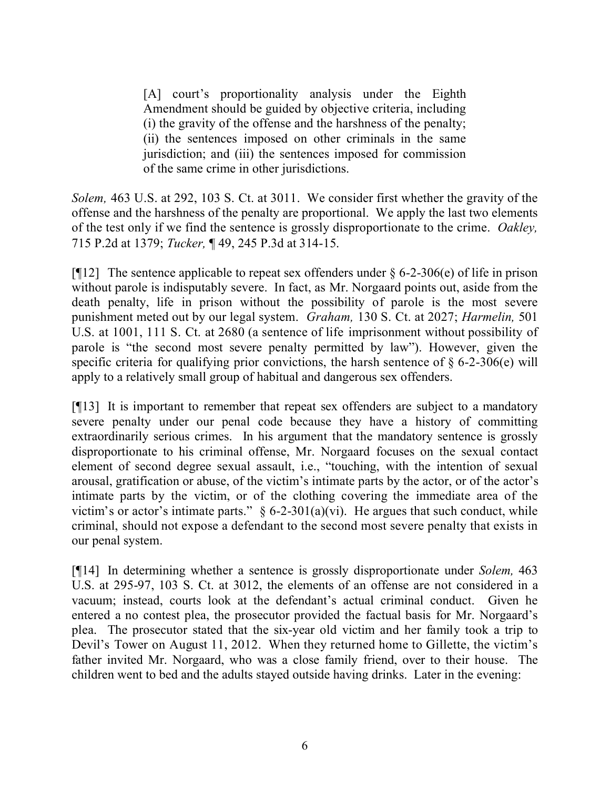[A] court's proportionality analysis under the Eighth Amendment should be guided by objective criteria, including (i) the gravity of the offense and the harshness of the penalty; (ii) the sentences imposed on other criminals in the same jurisdiction; and (iii) the sentences imposed for commission of the same crime in other jurisdictions.

*Solem,* 463 U.S. at 292, 103 S. Ct. at 3011. We consider first whether the gravity of the offense and the harshness of the penalty are proportional. We apply the last two elements of the test only if we find the sentence is grossly disproportionate to the crime. *Oakley,*  715 P.2d at 1379; *Tucker,* ¶ 49, 245 P.3d at 314-15.

[ $[12]$ ] The sentence applicable to repeat sex offenders under § 6-2-306(e) of life in prison without parole is indisputably severe. In fact, as Mr. Norgaard points out, aside from the death penalty, life in prison without the possibility of parole is the most severe punishment meted out by our legal system. *Graham,* 130 S. Ct. at 2027; *Harmelin,* 501 U.S. at 1001, 111 S. Ct. at 2680 (a sentence of life imprisonment without possibility of parole is "the second most severe penalty permitted by law"). However, given the specific criteria for qualifying prior convictions, the harsh sentence of  $\S$  6-2-306(e) will apply to a relatively small group of habitual and dangerous sex offenders.

[¶13] It is important to remember that repeat sex offenders are subject to a mandatory severe penalty under our penal code because they have a history of committing extraordinarily serious crimes. In his argument that the mandatory sentence is grossly disproportionate to his criminal offense, Mr. Norgaard focuses on the sexual contact element of second degree sexual assault, i.e., "touching, with the intention of sexual arousal, gratification or abuse, of the victim's intimate parts by the actor, or of the actor's intimate parts by the victim, or of the clothing covering the immediate area of the victim's or actor's intimate parts."  $\S 6-2-301(a)(vi)$ . He argues that such conduct, while criminal, should not expose a defendant to the second most severe penalty that exists in our penal system.

[¶14] In determining whether a sentence is grossly disproportionate under *Solem,* 463 U.S. at 295-97, 103 S. Ct. at 3012, the elements of an offense are not considered in a vacuum; instead, courts look at the defendant's actual criminal conduct. Given he entered a no contest plea, the prosecutor provided the factual basis for Mr. Norgaard's plea. The prosecutor stated that the six-year old victim and her family took a trip to Devil's Tower on August 11, 2012. When they returned home to Gillette, the victim's father invited Mr. Norgaard, who was a close family friend, over to their house. The children went to bed and the adults stayed outside having drinks. Later in the evening: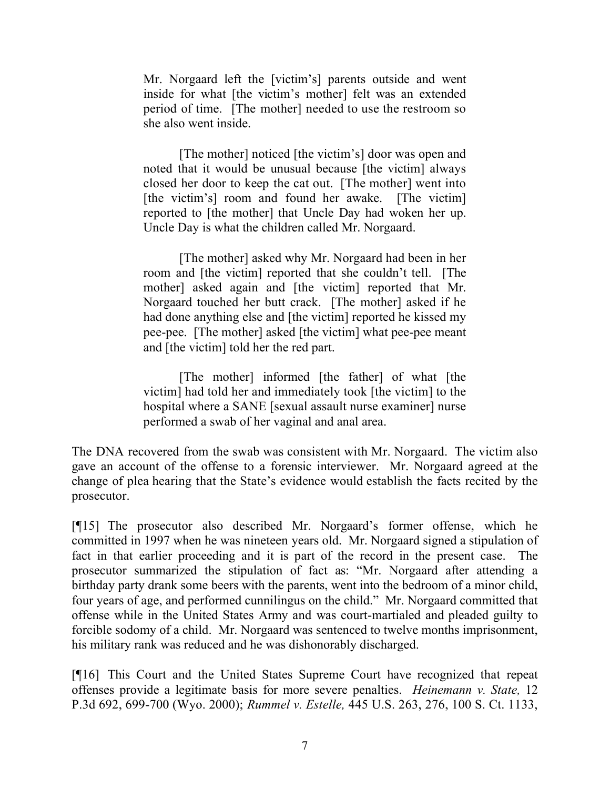Mr. Norgaard left the [victim's] parents outside and went inside for what [the victim's mother] felt was an extended period of time. [The mother] needed to use the restroom so she also went inside.

[The mother] noticed [the victim's] door was open and noted that it would be unusual because [the victim] always closed her door to keep the cat out. [The mother] went into [the victim's] room and found her awake. [The victim] reported to [the mother] that Uncle Day had woken her up. Uncle Day is what the children called Mr. Norgaard.

[The mother] asked why Mr. Norgaard had been in her room and [the victim] reported that she couldn't tell. [The mother] asked again and [the victim] reported that Mr. Norgaard touched her butt crack. [The mother] asked if he had done anything else and [the victim] reported he kissed my pee-pee. [The mother] asked [the victim] what pee-pee meant and [the victim] told her the red part.

[The mother] informed [the father] of what [the victim] had told her and immediately took [the victim] to the hospital where a SANE [sexual assault nurse examiner] nurse performed a swab of her vaginal and anal area.

The DNA recovered from the swab was consistent with Mr. Norgaard. The victim also gave an account of the offense to a forensic interviewer. Mr. Norgaard agreed at the change of plea hearing that the State's evidence would establish the facts recited by the prosecutor.

[¶15] The prosecutor also described Mr. Norgaard's former offense, which he committed in 1997 when he was nineteen years old. Mr. Norgaard signed a stipulation of fact in that earlier proceeding and it is part of the record in the present case. The prosecutor summarized the stipulation of fact as: "Mr. Norgaard after attending a birthday party drank some beers with the parents, went into the bedroom of a minor child, four years of age, and performed cunnilingus on the child." Mr. Norgaard committed that offense while in the United States Army and was court-martialed and pleaded guilty to forcible sodomy of a child. Mr. Norgaard was sentenced to twelve months imprisonment, his military rank was reduced and he was dishonorably discharged.

[¶16] This Court and the United States Supreme Court have recognized that repeat offenses provide a legitimate basis for more severe penalties. *Heinemann v. State,* 12 P.3d 692, 699-700 (Wyo. 2000); *Rummel v. Estelle,* 445 U.S. 263, 276, 100 S. Ct. 1133,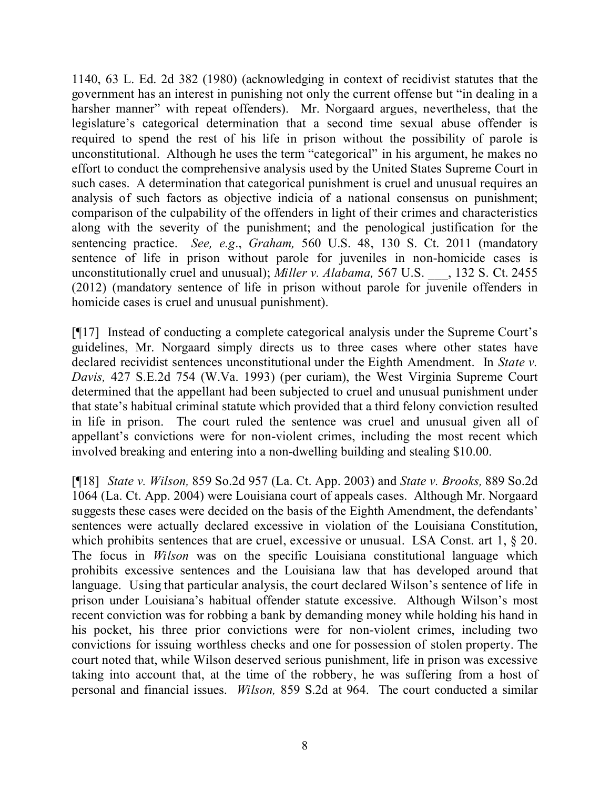1140, 63 L. Ed. 2d 382 (1980) (acknowledging in context of recidivist statutes that the government has an interest in punishing not only the current offense but "in dealing in a harsher manner" with repeat offenders). Mr. Norgaard argues, nevertheless, that the legislature's categorical determination that a second time sexual abuse offender is required to spend the rest of his life in prison without the possibility of parole is unconstitutional. Although he uses the term "categorical" in his argument, he makes no effort to conduct the comprehensive analysis used by the United States Supreme Court in such cases. A determination that categorical punishment is cruel and unusual requires an analysis of such factors as objective indicia of a national consensus on punishment; comparison of the culpability of the offenders in light of their crimes and characteristics along with the severity of the punishment; and the penological justification for the sentencing practice. *See, e.g*., *Graham,* 560 U.S. 48, 130 S. Ct. 2011 (mandatory sentence of life in prison without parole for juveniles in non-homicide cases is unconstitutionally cruel and unusual); *Miller v. Alabama,* 567 U.S. \_\_\_, 132 S. Ct. 2455 (2012) (mandatory sentence of life in prison without parole for juvenile offenders in homicide cases is cruel and unusual punishment).

[¶17] Instead of conducting a complete categorical analysis under the Supreme Court's guidelines, Mr. Norgaard simply directs us to three cases where other states have declared recividist sentences unconstitutional under the Eighth Amendment. In *State v. Davis,* 427 S.E.2d 754 (W.Va. 1993) (per curiam), the West Virginia Supreme Court determined that the appellant had been subjected to cruel and unusual punishment under that state's habitual criminal statute which provided that a third felony conviction resulted in life in prison. The court ruled the sentence was cruel and unusual given all of appellant's convictions were for non-violent crimes, including the most recent which involved breaking and entering into a non-dwelling building and stealing \$10.00.

[¶18] *State v. Wilson,* 859 So.2d 957 (La. Ct. App. 2003) and *State v. Brooks,* 889 So.2d 1064 (La. Ct. App. 2004) were Louisiana court of appeals cases. Although Mr. Norgaard suggests these cases were decided on the basis of the Eighth Amendment, the defendants' sentences were actually declared excessive in violation of the Louisiana Constitution, which prohibits sentences that are cruel, excessive or unusual. LSA Const. art 1,  $\S 20$ . The focus in *Wilson* was on the specific Louisiana constitutional language which prohibits excessive sentences and the Louisiana law that has developed around that language. Using that particular analysis, the court declared Wilson's sentence of life in prison under Louisiana's habitual offender statute excessive. Although Wilson's most recent conviction was for robbing a bank by demanding money while holding his hand in his pocket, his three prior convictions were for non-violent crimes, including two convictions for issuing worthless checks and one for possession of stolen property. The court noted that, while Wilson deserved serious punishment, life in prison was excessive taking into account that, at the time of the robbery, he was suffering from a host of personal and financial issues. *Wilson,* 859 S.2d at 964. The court conducted a similar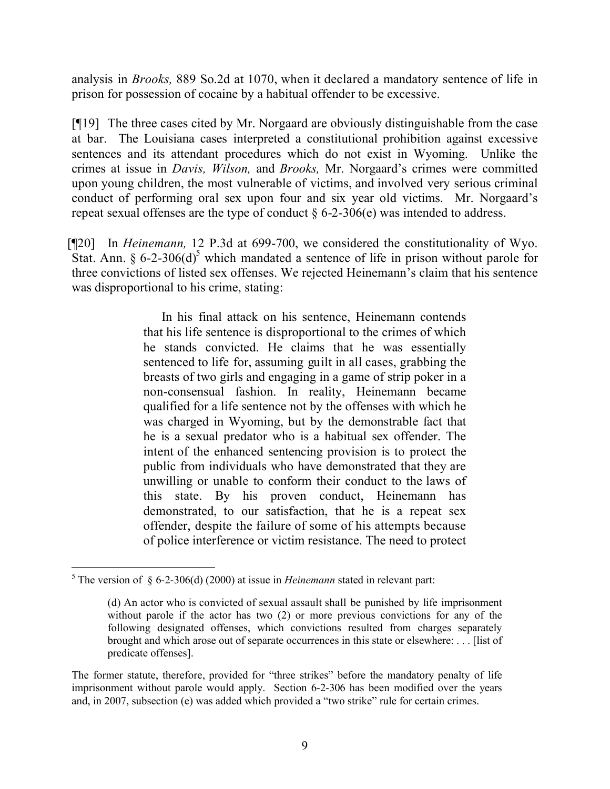analysis in *Brooks,* 889 So.2d at 1070, when it declared a mandatory sentence of life in prison for possession of cocaine by a habitual offender to be excessive.

[¶19] The three cases cited by Mr. Norgaard are obviously distinguishable from the case at bar. The Louisiana cases interpreted a constitutional prohibition against excessive sentences and its attendant procedures which do not exist in Wyoming. Unlike the crimes at issue in *Davis, Wilson,* and *Brooks,* Mr. Norgaard's crimes were committed upon young children, the most vulnerable of victims, and involved very serious criminal conduct of performing oral sex upon four and six year old victims. Mr. Norgaard's repeat sexual offenses are the type of conduct  $\S$  6-2-306(e) was intended to address.

[¶20] In *Heinemann,* 12 P.3d at 699-700, we considered the constitutionality of Wyo. Stat. Ann.  $\S 6$ -2-306(d)<sup>5</sup> which mandated a sentence of life in prison without parole for three convictions of listed sex offenses. We rejected Heinemann's claim that his sentence was disproportional to his crime, stating:

> In his final attack on his sentence, Heinemann contends that his life sentence is disproportional to the crimes of which he stands convicted. He claims that he was essentially sentenced to life for, assuming guilt in all cases, grabbing the breasts of two girls and engaging in a game of strip poker in a non-consensual fashion. In reality, Heinemann became qualified for a life sentence not by the offenses with which he was charged in Wyoming, but by the demonstrable fact that he is a sexual predator who is a habitual sex offender. The intent of the enhanced sentencing provision is to protect the public from individuals who have demonstrated that they are unwilling or unable to conform their conduct to the laws of this state. By his proven conduct, Heinemann has demonstrated, to our satisfaction, that he is a repeat sex offender, despite the failure of some of his attempts because of police interference or victim resistance. The need to protect

<sup>5</sup> The version of § 6-2-306(d) (2000) at issue in *Heinemann* stated in relevant part:

<sup>(</sup>d) An actor who is convicted of sexual assault shall be punished by life imprisonment without parole if the actor has two (2) or more previous convictions for any of the following designated offenses, which convictions resulted from charges separately brought and which arose out of separate occurrences in this state or elsewhere: . . . [list of predicate offenses].

The former statute, therefore, provided for "three strikes" before the mandatory penalty of life imprisonment without parole would apply. Section 6-2-306 has been modified over the years and, in 2007, subsection (e) was added which provided a "two strike" rule for certain crimes.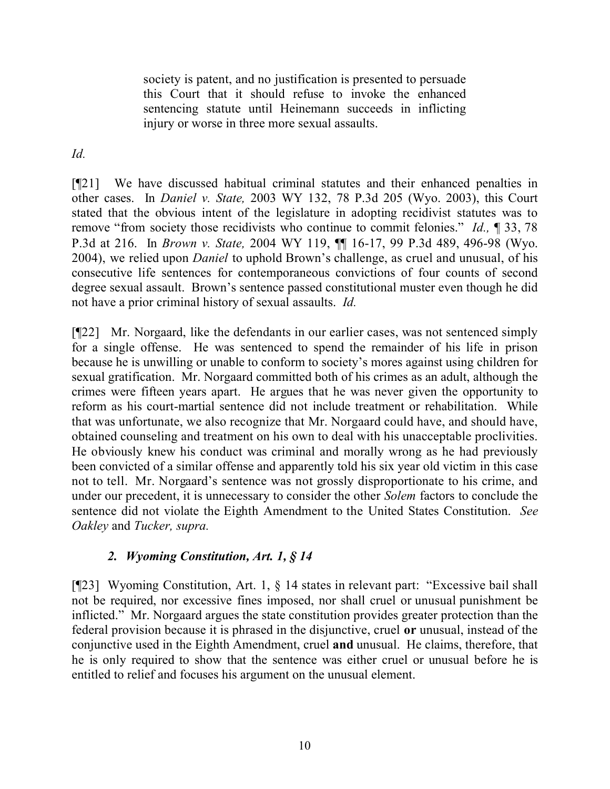society is patent, and no justification is presented to persuade this Court that it should refuse to invoke the enhanced sentencing statute until Heinemann succeeds in inflicting injury or worse in three more sexual assaults.

*Id.*

[¶21] We have discussed habitual criminal statutes and their enhanced penalties in other cases. In *Daniel v. State,* 2003 WY 132, 78 P.3d 205 (Wyo. 2003), this Court stated that the obvious intent of the legislature in adopting recidivist statutes was to remove "from society those recidivists who continue to commit felonies." *Id.,* ¶ 33, 78 P.3d at 216. In *Brown v. State,* 2004 WY 119, ¶¶ 16-17, 99 P.3d 489, 496-98 (Wyo. 2004), we relied upon *Daniel* to uphold Brown's challenge, as cruel and unusual, of his consecutive life sentences for contemporaneous convictions of four counts of second degree sexual assault. Brown's sentence passed constitutional muster even though he did not have a prior criminal history of sexual assaults. *Id.* 

[¶22] Mr. Norgaard, like the defendants in our earlier cases, was not sentenced simply for a single offense. He was sentenced to spend the remainder of his life in prison because he is unwilling or unable to conform to society's mores against using children for sexual gratification. Mr. Norgaard committed both of his crimes as an adult, although the crimes were fifteen years apart. He argues that he was never given the opportunity to reform as his court-martial sentence did not include treatment or rehabilitation. While that was unfortunate, we also recognize that Mr. Norgaard could have, and should have, obtained counseling and treatment on his own to deal with his unacceptable proclivities. He obviously knew his conduct was criminal and morally wrong as he had previously been convicted of a similar offense and apparently told his six year old victim in this case not to tell. Mr. Norgaard's sentence was not grossly disproportionate to his crime, and under our precedent, it is unnecessary to consider the other *Solem* factors to conclude the sentence did not violate the Eighth Amendment to the United States Constitution. *See Oakley* and *Tucker, supra.*

# *2. Wyoming Constitution, Art. 1, § 14*

[¶23] Wyoming Constitution, Art. 1, § 14 states in relevant part: "Excessive bail shall not be required, nor excessive fines imposed, nor shall cruel or unusual punishment be inflicted." Mr. Norgaard argues the state constitution provides greater protection than the federal provision because it is phrased in the disjunctive, cruel **or** unusual, instead of the conjunctive used in the Eighth Amendment, cruel **and** unusual. He claims, therefore, that he is only required to show that the sentence was either cruel or unusual before he is entitled to relief and focuses his argument on the unusual element.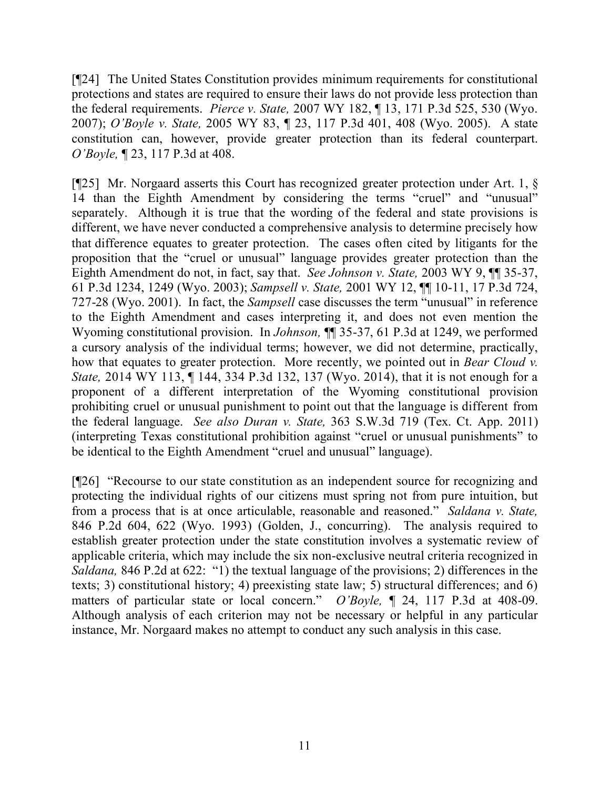[¶24] The United States Constitution provides minimum requirements for constitutional protections and states are required to ensure their laws do not provide less protection than the federal requirements. *Pierce v. State,* 2007 WY 182, ¶ 13, 171 P.3d 525, 530 (Wyo. 2007); *O'Boyle v. State,* 2005 WY 83, ¶ 23, 117 P.3d 401, 408 (Wyo. 2005). A state constitution can, however, provide greater protection than its federal counterpart. *O'Boyle,* ¶ 23, 117 P.3d at 408.

[¶25] Mr. Norgaard asserts this Court has recognized greater protection under Art. 1, § 14 than the Eighth Amendment by considering the terms "cruel" and "unusual" separately. Although it is true that the wording of the federal and state provisions is different, we have never conducted a comprehensive analysis to determine precisely how that difference equates to greater protection. The cases often cited by litigants for the proposition that the "cruel or unusual" language provides greater protection than the Eighth Amendment do not, in fact, say that. *See Johnson v. State,* 2003 WY 9, ¶¶ 35-37, 61 P.3d 1234, 1249 (Wyo. 2003); *Sampsell v. State,* 2001 WY 12, ¶¶ 10-11, 17 P.3d 724, 727-28 (Wyo. 2001). In fact, the *Sampsell* case discusses the term "unusual" in reference to the Eighth Amendment and cases interpreting it, and does not even mention the Wyoming constitutional provision. In *Johnson,* ¶¶ 35-37, 61 P.3d at 1249, we performed a cursory analysis of the individual terms; however, we did not determine, practically, how that equates to greater protection. More recently, we pointed out in *Bear Cloud v. State,* 2014 WY 113, ¶ 144, 334 P.3d 132, 137 (Wyo. 2014), that it is not enough for a proponent of a different interpretation of the Wyoming constitutional provision prohibiting cruel or unusual punishment to point out that the language is different from the federal language. *See also Duran v. State,* 363 S.W.3d 719 (Tex. Ct. App. 2011) (interpreting Texas constitutional prohibition against "cruel or unusual punishments" to be identical to the Eighth Amendment "cruel and unusual" language).

[¶26] "Recourse to our state constitution as an independent source for recognizing and protecting the individual rights of our citizens must spring not from pure intuition, but from a process that is at once articulable, reasonable and reasoned." *Saldana v. State,*  846 P.2d 604, 622 (Wyo. 1993) (Golden, J., concurring). The analysis required to establish greater protection under the state constitution involves a systematic review of applicable criteria, which may include the six non-exclusive neutral criteria recognized in *Saldana,* 846 P.2d at 622: "1) the textual language of the provisions; 2) differences in the texts; 3) constitutional history; 4) preexisting state law; 5) structural differences; and 6) matters of particular state or local concern." *O'Boyle,* ¶ 24, 117 P.3d at 408-09. Although analysis of each criterion may not be necessary or helpful in any particular instance, Mr. Norgaard makes no attempt to conduct any such analysis in this case.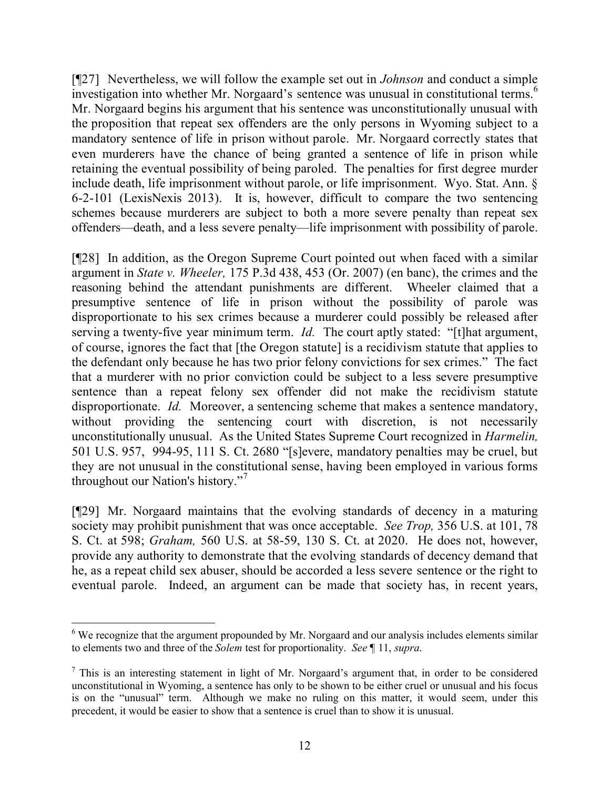[¶27] Nevertheless, we will follow the example set out in *Johnson* and conduct a simple investigation into whether Mr. Norgaard's sentence was unusual in constitutional terms.<sup>6</sup> Mr. Norgaard begins his argument that his sentence was unconstitutionally unusual with the proposition that repeat sex offenders are the only persons in Wyoming subject to a mandatory sentence of life in prison without parole. Mr. Norgaard correctly states that even murderers have the chance of being granted a sentence of life in prison while retaining the eventual possibility of being paroled. The penalties for first degree murder include death, life imprisonment without parole, or life imprisonment. Wyo. Stat. Ann. § 6-2-101 (LexisNexis 2013). It is, however, difficult to compare the two sentencing schemes because murderers are subject to both a more severe penalty than repeat sex offenders—death, and a less severe penalty—life imprisonment with possibility of parole.

[¶28] In addition, as the Oregon Supreme Court pointed out when faced with a similar argument in *State v. Wheeler,* 175 P.3d 438, 453 (Or. 2007) (en banc), the crimes and the reasoning behind the attendant punishments are different. Wheeler claimed that a presumptive sentence of life in prison without the possibility of parole was disproportionate to his sex crimes because a murderer could possibly be released after serving a twenty-five year minimum term. *Id.* The court aptly stated: "[t]hat argument, of course, ignores the fact that [the Oregon statute] is a recidivism statute that applies to the defendant only because he has two prior felony convictions for sex crimes." The fact that a murderer with no prior conviction could be subject to a less severe presumptive sentence than a repeat felony sex offender did not make the recidivism statute disproportionate. *Id.* Moreover, a sentencing scheme that makes a sentence mandatory, without providing the sentencing court with discretion, is not necessarily unconstitutionally unusual. As the United States Supreme Court recognized in *Harmelin,* 501 U.S. 957, 994-95, 111 S. Ct. 2680 "[s]evere, mandatory penalties may be cruel, but they are not unusual in the constitutional sense, having been employed in various forms throughout our Nation's history."<sup>7</sup>

[¶29] Mr. Norgaard maintains that the evolving standards of decency in a maturing society may prohibit punishment that was once acceptable. *See Trop,* 356 U.S. at 101, 78 S. Ct. at 598; *Graham,* 560 U.S. at 58-59, 130 S. Ct. at 2020. He does not, however, provide any authority to demonstrate that the evolving standards of decency demand that he, as a repeat child sex abuser, should be accorded a less severe sentence or the right to eventual parole. Indeed, an argument can be made that society has, in recent years,

 $\overline{a}$ <sup>6</sup> We recognize that the argument propounded by Mr. Norgaard and our analysis includes elements similar to elements two and three of the *Solem* test for proportionality. *See* ¶ 11, *supra*.

 $<sup>7</sup>$  This is an interesting statement in light of Mr. Norgaard's argument that, in order to be considered</sup> unconstitutional in Wyoming, a sentence has only to be shown to be either cruel or unusual and his focus is on the "unusual" term. Although we make no ruling on this matter, it would seem, under this precedent, it would be easier to show that a sentence is cruel than to show it is unusual.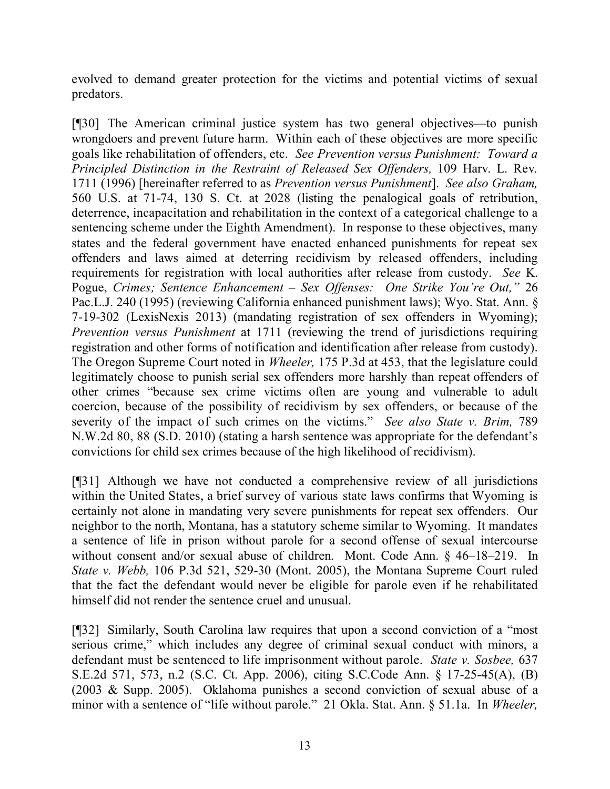evolved to demand greater protection for the victims and potential victims of sexual predators.

[¶30] The American criminal justice system has two general objectives—to punish wrongdoers and prevent future harm. Within each of these objectives are more specific goals like rehabilitation of offenders, etc. *See Prevention versus Punishment: Toward a Principled Distinction in the Restraint of Released Sex Offenders,* 109 Harv. L. Rev. 1711 (1996) [hereinafter referred to as *Prevention versus Punishment*]. *See also Graham,*  560 U.S. at 71-74, 130 S. Ct. at 2028 (listing the penalogical goals of retribution, deterrence, incapacitation and rehabilitation in the context of a categorical challenge to a sentencing scheme under the Eighth Amendment). In response to these objectives, many states and the federal government have enacted enhanced punishments for repeat sex offenders and laws aimed at deterring recidivism by released offenders, including requirements for registration with local authorities after release from custody. *See* K. Pogue, *Crimes; Sentence Enhancement – Sex Offenses: One Strike You're Out,"* 26 Pac.L.J. 240 (1995) (reviewing California enhanced punishment laws); Wyo. Stat. Ann. § 7-19-302 (LexisNexis 2013) (mandating registration of sex offenders in Wyoming); *Prevention versus Punishment* at 1711 (reviewing the trend of jurisdictions requiring registration and other forms of notification and identification after release from custody). The Oregon Supreme Court noted in *Wheeler,* 175 P.3d at 453, that the legislature could legitimately choose to punish serial sex offenders more harshly than repeat offenders of other crimes "because sex crime victims often are young and vulnerable to adult coercion, because of the possibility of recidivism by sex offenders, or because of the severity of the impact of such crimes on the victims." *See also State v. Brim,* 789 N.W.2d 80, 88 (S.D. 2010) (stating a harsh sentence was appropriate for the defendant's convictions for child sex crimes because of the high likelihood of recidivism).

[¶31] Although we have not conducted a comprehensive review of all jurisdictions within the United States, a brief survey of various state laws confirms that Wyoming is certainly not alone in mandating very severe punishments for repeat sex offenders. Our neighbor to the north, Montana, has a statutory scheme similar to Wyoming. It mandates a sentence of life in prison without parole for a second offense of sexual intercourse without consent and/or sexual abuse of children. Mont. Code Ann. § 46–18–219. In *State v. Webb,* 106 P.3d 521, 529-30 (Mont. 2005), the Montana Supreme Court ruled that the fact the defendant would never be eligible for parole even if he rehabilitated himself did not render the sentence cruel and unusual.

[¶32] Similarly, South Carolina law requires that upon a second conviction of a "most serious crime," which includes any degree of criminal sexual conduct with minors, a defendant must be sentenced to life imprisonment without parole. *State v. Sosbee,* 637 S.E.2d 571, 573, n.2 (S.C. Ct. App. 2006), citing S.C.Code Ann. § 17-25-45(A), (B) (2003 & Supp. 2005). Oklahoma punishes a second conviction of sexual abuse of a minor with a sentence of "life without parole." 21 Okla. Stat. Ann. § 51.1a. In *Wheeler,*